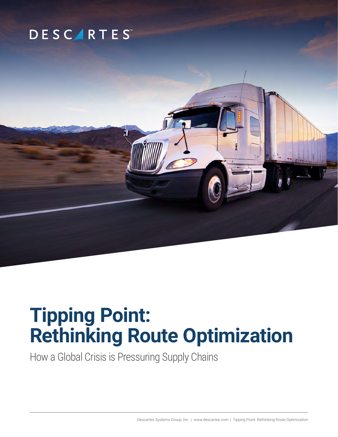## **DESCARTES**

# **Tipping Point: Rethinking Route Optimization**

How a Global Crisis is Pressuring Supply Chains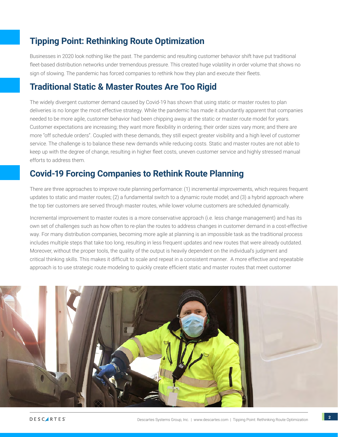## **Tipping Point: Rethinking Route Optimization**

Businesses in 2020 look nothing like the past. The pandemic and resulting customer behavior shift have put traditional fleet-based distribution networks under tremendous pressure. This created huge volatility in order volume that shows no sign of slowing. The pandemic has forced companies to rethink how they plan and execute their fleets.

## **Traditional Static & Master Routes Are Too Rigid**

The widely divergent customer demand caused by Covid-19 has shown that using static or master routes to plan deliveries is no longer the most effective strategy. While the pandemic has made it abundantly apparent that companies needed to be more agile, customer behavior had been chipping away at the static or master route model for years. Customer expectations are increasing; they want more flexibility in ordering; their order sizes vary more; and there are more "off schedule orders". Coupled with these demands, they still expect greater visibility and a high level of customer service. The challenge is to balance these new demands while reducing costs. Static and master routes are not able to keep up with the degree of change, resulting in higher fleet costs, uneven customer service and highly stressed manual efforts to address them.

## **Covid-19 Forcing Companies to Rethink Route Planning**

There are three approaches to improve route planning performance: (1) incremental improvements, which requires frequent updates to static and master routes; (2) a fundamental switch to a dynamic route model; and (3) a hybrid approach where the top tier customers are served through master routes, while lower volume customers are scheduled dynamically.

Incremental improvement to master routes is a more conservative approach (i.e. less change management) and has its own set of challenges such as how often to re-plan the routes to address changes in customer demand in a cost-effective way. For many distribution companies, becoming more agile at planning is an impossible task as the traditional process includes multiple steps that take too long, resulting in less frequent updates and new routes that were already outdated. Moreover, without the proper tools, the quality of the output is heavily dependent on the individual's judgment and critical thinking skills. This makes it difficult to scale and repeat in a consistent manner. A more effective and repeatable approach is to use strategic route modeling to quickly create efficient static and master routes that meet customer

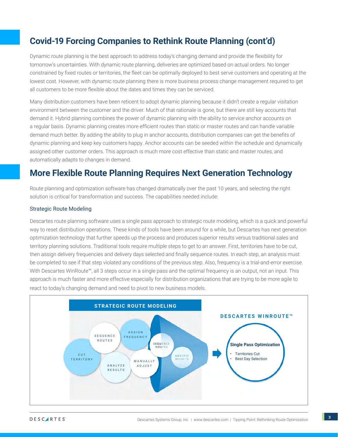## **Covid-19 Forcing Companies to Rethink Route Planning (cont'd)**

Dynamic route planning is the best approach to address today's changing demand and provide the flexibility for tomorrow's uncertainties. With dynamic route planning, deliveries are optimized based on actual orders. No longer constrained by fixed routes or territories, the fleet can be optimally deployed to best serve customers and operating at the lowest cost. However, with dynamic route planning there is more business process change management required to get all customers to be more flexible about the dates and times they can be serviced.

Many distribution customers have been reticent to adopt dynamic planning because it didn't create a regular visitation environment between the customer and the driver. Much of that rationale is gone, but there are still key accounts that demand it. Hybrid planning combines the power of dynamic planning with the ability to service anchor accounts on a regular basis. Dynamic planning creates more efficient routes than static or master routes and can handle variable demand much better. By adding the ability to plug in anchor accounts, distribution companies can get the benefits of dynamic planning and keep key customers happy. Anchor accounts can be seeded within the schedule and dynamically assigned other customer orders. This approach is much more cost effective than static and master routes, and automatically adapts to changes in demand.

## **More Flexible Route Planning Requires Next Generation Technology**

Route planning and optimization software has changed dramatically over the past 10 years, and selecting the right solution is critical for transformation and success. The capabilities needed include:

#### Strategic Route Modeling

Descartes route planning software uses a single pass approach to strategic route modeling, which is a quick and powerful way to reset distribution operations. These kinds of tools have been around for a while, but Descartes has next generation optimization technology that further speeds up the process and produces superior results versus traditional sales and territory planning solutions. Traditional tools require multiple steps to get to an answer. First, territories have to be cut, then assign delivery frequencies and delivery days selected and finally sequence routes. In each step, an analysis must be completed to see if that step violated any conditions of the previous step. Also, frequency is a trial-and-error exercise. With Descartes WinRoute™, all 3 steps occur in a single pass and the optimal frequency is an output, not an input. This approach is much faster and more effective especially for distribution organizations that are trying to be more agile to react to today's changing demand and need to pivot to new business models.

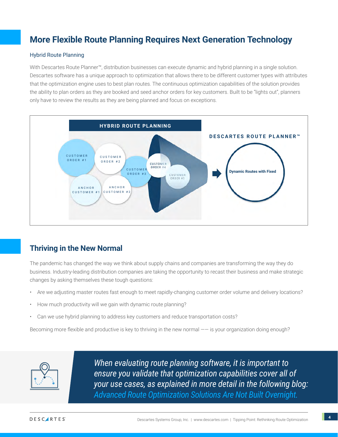## **More Flexible Route Planning Requires Next Generation Technology**

#### Hybrid Route Planning

With Descartes Route Planner™, distribution businesses can execute dynamic and hybrid planning in a single solution. Descartes software has a unique approach to optimization that allows there to be different customer types with attributes that the optimization engine uses to best plan routes. The continuous optimization capabilities of the solution provides the ability to plan orders as they are booked and seed anchor orders for key customers. Built to be "lights out", planners only have to review the results as they are being planned and focus on exceptions.



#### **Thriving in the New Normal**

The pandemic has changed the way we think about supply chains and companies are transforming the way they do business. Industry-leading distribution companies are taking the opportunity to recast their business and make strategic changes by asking themselves these tough questions:

- Are we adjusting master routes fast enough to meet rapidly-changing customer order volume and delivery locations?
- How much productivity will we gain with dynamic route planning?
- Can we use hybrid planning to address key customers and reduce transportation costs?

Becoming more flexible and productive is key to thriving in the new normal  $--$  is your organization doing enough?



*When evaluating route planning software, it is important to ensure you validate that optimization capabilities cover all of your use cases, as explained in more detail in the following blog: Advanced Route Optimization Solutions Are Not Built Overnight.*